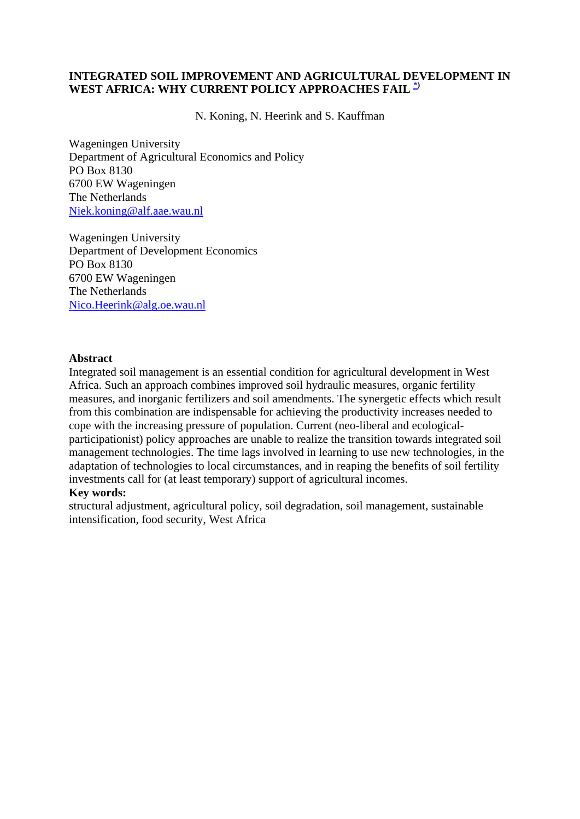# **INTEGRATED SOIL IMPROVEMENT AND AGRICULTURAL DEVELOPMENT IN WEST AFRICA: WHY CURRENT POLICY APPROACHES FAIL [\\*\)](http://www.sls.wau.nl/mi/mgs/publications/Wageningen_Economic_Papers/0998/wep09.htm#note#note)**

N. Koning, N. Heerink and S. Kauffman

Wageningen University Department of Agricultural Economics and Policy PO Box 8130 6700 EW Wageningen The Netherlands [Niek.koning@alf.aae.wau.nl](mailto:Niek.koning@alf.aae.wau.nl) 

Wageningen University Department of Development Economics PO Box 8130 6700 EW Wageningen The Netherlands [Nico.Heerink@alg.oe.wau.nl](mailto:Nico.Heerink@alg.oe.wau.nl)

#### **Abstract**

Integrated soil management is an essential condition for agricultural development in West Africa. Such an approach combines improved soil hydraulic measures, organic fertility measures, and inorganic fertilizers and soil amendments. The synergetic effects which result from this combination are indispensable for achieving the productivity increases needed to cope with the increasing pressure of population. Current (neo-liberal and ecologicalparticipationist) policy approaches are unable to realize the transition towards integrated soil management technologies. The time lags involved in learning to use new technologies, in the adaptation of technologies to local circumstances, and in reaping the benefits of soil fertility investments call for (at least temporary) support of agricultural incomes.

#### **Key words:**

structural adjustment, agricultural policy, soil degradation, soil management, sustainable intensification, food security, West Africa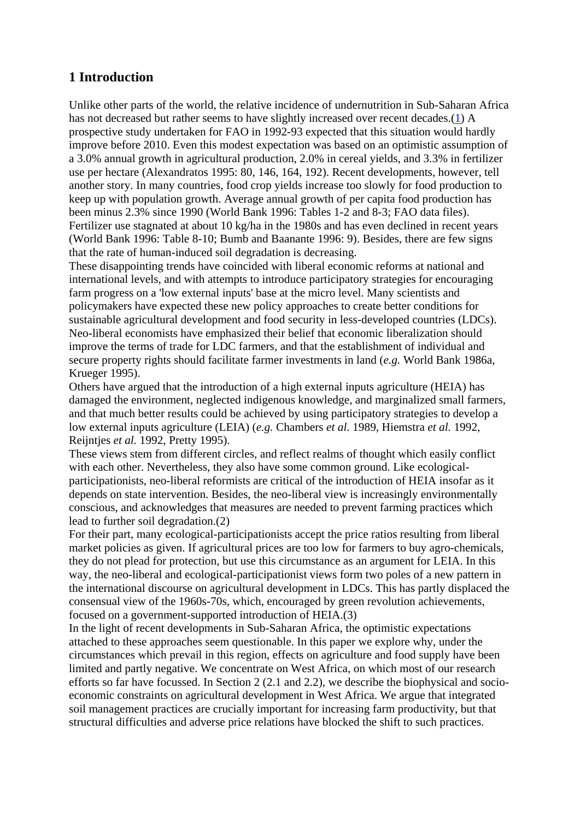# **1 Introduction**

Unlike other parts of the world, the relative incidence of undernutrition in Sub-Saharan Africa has not decreased but rather seems to have slightly increased over recent decades.[\(1](http://www.sls.wau.nl/mi/mgs/publications/Wageningen_Economic_Papers/0998/wep09_1.htm#note1#note1)) A prospective study undertaken for FAO in 1992-93 expected that this situation would hardly improve before 2010. Even this modest expectation was based on an optimistic assumption of a 3.0% annual growth in agricultural production, 2.0% in cereal yields, and 3.3% in fertilizer use per hectare (Alexandratos 1995: 80, 146, 164, 192). Recent developments, however, tell another story. In many countries, food crop yields increase too slowly for food production to keep up with population growth. Average annual growth of per capita food production has been minus 2.3% since 1990 (World Bank 1996: Tables 1-2 and 8-3; FAO data files). Fertilizer use stagnated at about 10 kg/ha in the 1980s and has even declined in recent years (World Bank 1996: Table 8-10; Bumb and Baanante 1996: 9). Besides, there are few signs that the rate of human-induced soil degradation is decreasing.

These disappointing trends have coincided with liberal economic reforms at national and international levels, and with attempts to introduce participatory strategies for encouraging farm progress on a 'low external inputs' base at the micro level. Many scientists and policymakers have expected these new policy approaches to create better conditions for sustainable agricultural development and food security in less-developed countries (LDCs). Neo-liberal economists have emphasized their belief that economic liberalization should improve the terms of trade for LDC farmers, and that the establishment of individual and secure property rights should facilitate farmer investments in land (*e.g.* World Bank 1986a, Krueger 1995).

Others have argued that the introduction of a high external inputs agriculture (HEIA) has damaged the environment, neglected indigenous knowledge, and marginalized small farmers, and that much better results could be achieved by using participatory strategies to develop a low external inputs agriculture (LEIA) (*e.g.* Chambers *et al.* 1989, Hiemstra *et al.* 1992, Reijntjes *et al.* 1992, Pretty 1995).

These views stem from different circles, and reflect realms of thought which easily conflict with each other. Nevertheless, they also have some common ground. Like ecologicalparticipationists, neo-liberal reformists are critical of the introduction of HEIA insofar as it depends on state intervention. Besides, the neo-liberal view is increasingly environmentally conscious, and acknowledges that measures are needed to prevent farming practices which lead to further soil degradation.(2)

For their part, many ecological-participationists accept the price ratios resulting from liberal market policies as given. If agricultural prices are too low for farmers to buy agro-chemicals, they do not plead for protection, but use this circumstance as an argument for LEIA. In this way, the neo-liberal and ecological-participationist views form two poles of a new pattern in the international discourse on agricultural development in LDCs. This has partly displaced the consensual view of the 1960s-70s, which, encouraged by green revolution achievements, focused on a government-supported introduction of HEIA.(3)

In the light of recent developments in Sub-Saharan Africa, the optimistic expectations attached to these approaches seem questionable. In this paper we explore why, under the circumstances which prevail in this region, effects on agriculture and food supply have been limited and partly negative. We concentrate on West Africa, on which most of our research efforts so far have focussed. In Section 2 (2.1 and 2.2), we describe the biophysical and socioeconomic constraints on agricultural development in West Africa. We argue that integrated soil management practices are crucially important for increasing farm productivity, but that structural difficulties and adverse price relations have blocked the shift to such practices.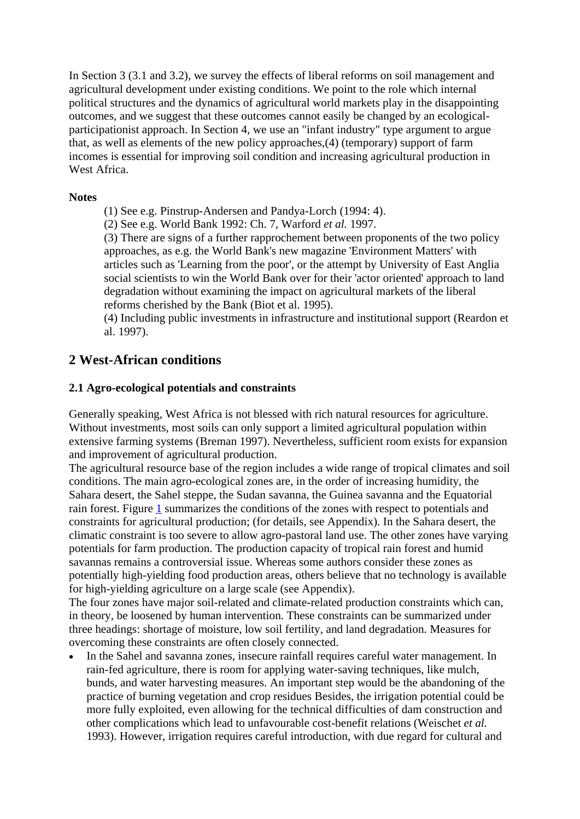In Section 3 (3.1 and 3.2), we survey the effects of liberal reforms on soil management and agricultural development under existing conditions. We point to the role which internal political structures and the dynamics of agricultural world markets play in the disappointing outcomes, and we suggest that these outcomes cannot easily be changed by an ecologicalparticipationist approach. In Section 4, we use an "infant industry" type argument to argue that, as well as elements of the new policy approaches,(4) (temporary) support of farm incomes is essential for improving soil condition and increasing agricultural production in [W](http://www.sls.wau.nl/mi/mgs/publications/Wageningen_Economic_Papers/0998/wep09_1.htm#Top#Top)est Africa.

## **Notes**

(1) See e.g. Pinstrup-Andersen and Pandya-Lorch (1994: 4).

(2) See e.g. World Bank 1992: Ch. 7, Warford *et al.* 1997.

(3) There are signs of a further rapprochement between proponents of the two policy approaches, as e.g. the World Bank's new magazine 'Environment Matters' with articles such as 'Learning from the poor', or the attempt by University of East Anglia social scientists to win the World Bank over for their 'actor oriented' approach to land degradation without examining the impact on agricultural markets of the liberal reforms cherished by the Bank (Biot et al. 1995).

(4) Including public investments in infrastructure and institutional support (Reardon et al. 1997).

# **2 West-African conditions**

## **2.1 Agro-ecological potentials and constraints**

Generally speaking, West Africa is not blessed with rich natural resources for agriculture. Without investments, most soils can only support a limited agricultural population within extensive farming systems (Breman 1997). Nevertheless, sufficient room exists for expansion and improvement of agricultural production.

The agricultural resource base of the region includes a wide range of tropical climates and soil conditions. The main agro-ecological zones are, in the order of increasing humidity, the Sahara desert, the Sahel steppe, the Sudan savanna, the Guinea savanna and the Equatorial rain forest. Figure [1](http://www.sls.wau.nl/mi/mgs/publications/Wageningen_Economic_Papers/0998/wep09_2a.htm#fig1#fig1) summarizes the conditions of the zones with respect to potentials and constraints for agricultural production; (for details, see Appendix). In the Sahara desert, the climatic constraint is too severe to allow agro-pastoral land use. The other zones have varying potentials for farm production. The production capacity of tropical rain forest and humid savannas remains a controversial issue. Whereas some authors consider these zones as potentially high-yielding food production areas, others believe that no technology is available for high-yielding agriculture on a large scale (see Appendix).

The four zones have major soil-related and climate-related production constraints which can, in theory, be loosened by human intervention. These constraints can be summarized under three headings: shortage of moisture, low soil fertility, and land degradation. Measures for overcoming these constraints are often closely connected.

• In the Sahel and savanna zones, insecure rainfall requires careful water management. In rain-fed agriculture, there is room for applying water-saving techniques, like mulch, bunds, and water harvesting measures. An important step would be the abandoning of the practice of burning vegetation and crop residues Besides, the irrigation potential could be more fully exploited, even allowing for the technical difficulties of dam construction and other complications which lead to unfavourable cost-benefit relations (Weischet *et al.* 1993). However, irrigation requires careful introduction, with due regard for cultural and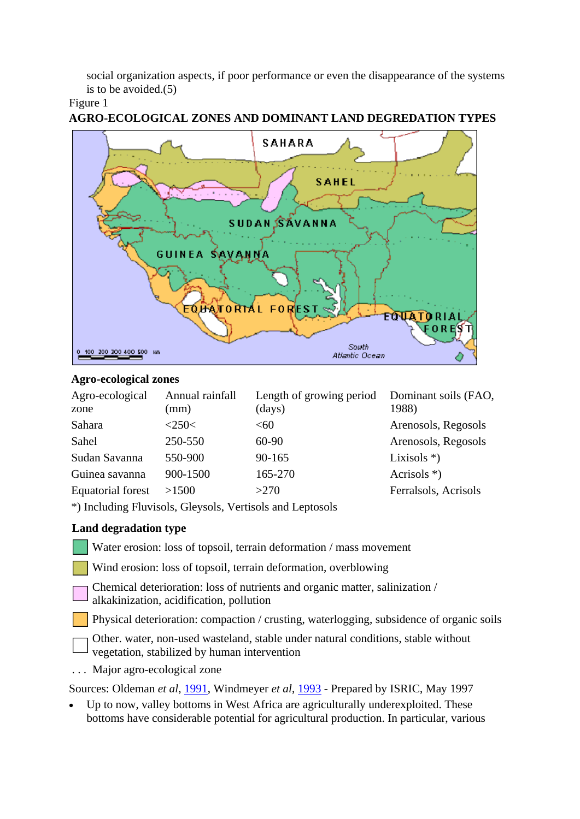social organization aspects, if poor performance or even the disappearance of the systems is to be avoided.(5)

# Figure 1



# **AGRO-ECOLOGICAL ZONES AND DOMINANT LAND DEGREDATION TYPES**

## **Agro-ecological zones**

| Agro-ecological   | Annual rainfall | Length of growing period | Dominant soils (FAO, |
|-------------------|-----------------|--------------------------|----------------------|
| zone              | (mm)            | (days)                   | 1988)                |
| Sahara            | <250<           | < 60                     | Arenosols, Regosols  |
| Sahel             | 250-550         | $60-90$                  | Arenosols, Regosols  |
| Sudan Savanna     | 550-900         | $90 - 165$               | Lixisols $*$ )       |
| Guinea savanna    | 900-1500        | 165-270                  | Acrisols $*$ )       |
| Equatorial forest | >1500           | >270                     | Ferralsols, Acrisols |

\*) Including Fluvisols, Gleysols, Vertisols and Leptosols

# **Land degradation type**

Water erosion: loss of topsoil, terrain deformation / mass movement

Wind erosion: loss of topsoil, terrain deformation, overblowing

Chemical deterioration: loss of nutrients and organic matter, salinization / alkakinization, acidification, pollution

Physical deterioration: compaction / crusting, waterlogging, subsidence of organic soils

Other. water, non-used wasteland, stable under natural conditions, stable without vegetation, stabilized by human intervention

. . . Major agro-ecological zone

Sources: Oldeman *et al*, [1991](http://www.sls.wau.nl/mi/mgs/publications/Wageningen_Economic_Papers/wep09_rf.htm#refnr55), Windmeyer *et al*, [1993](http://www.sls.wau.nl/mi/mgs/publications/Wageningen_Economic_Papers/wep09_rf.htm#refnr87) - Prepared by ISRIC, May 1997

• Up to now, valley bottoms in West Africa are agriculturally underexploited. These bottoms have considerable potential for agricultural production. In particular, various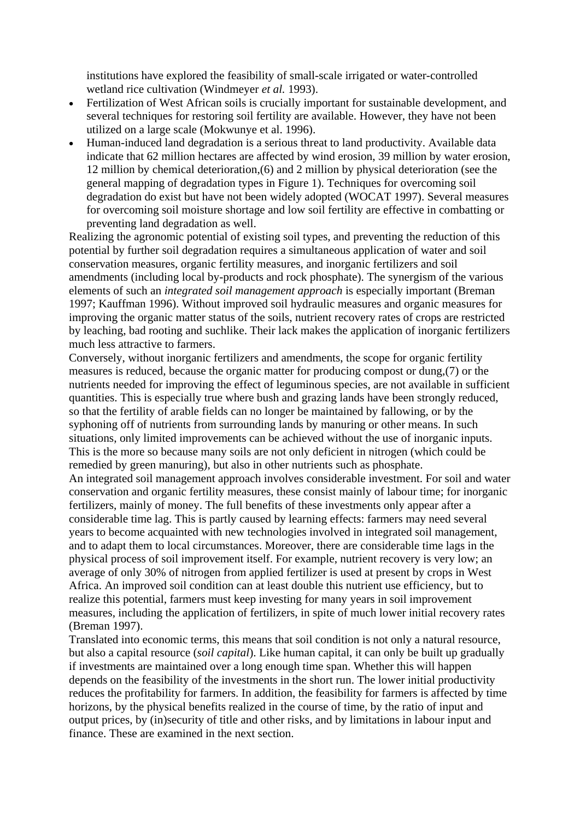institutions have explored the feasibility of small-scale irrigated or water-controlled wetland rice cultivation (Windmeyer *et al.* 1993).

- Fertilization of West African soils is crucially important for sustainable development, and several techniques for restoring soil fertility are available. However, they have not been utilized on a large scale (Mokwunye et al. 1996).
- Human-induced land degradation is a serious threat to land productivity. Available data indicate that 62 million hectares are affected by wind erosion, 39 million by water erosion, 12 million by chemical deterioration,(6) and 2 million by physical deterioration (see the general mapping of degradation types in Figure 1). Techniques for overcoming soil degradation do exist but have not been widely adopted (WOCAT 1997). Several measures for overcoming soil moisture shortage and low soil fertility are effective in combatting or preventing land degradation as well.

Realizing the agronomic potential of existing soil types, and preventing the reduction of this potential by further soil degradation requires a simultaneous application of water and soil conservation measures, organic fertility measures, and inorganic fertilizers and soil amendments (including local by-products and rock phosphate). The synergism of the various elements of such an *integrated soil management approach* is especially important (Breman 1997; Kauffman 1996). Without improved soil hydraulic measures and organic measures for improving the organic matter status of the soils, nutrient recovery rates of crops are restricted by leaching, bad rooting and suchlike. Their lack makes the application of inorganic fertilizers much less attractive to farmers.

Conversely, without inorganic fertilizers and amendments, the scope for organic fertility measures is reduced, because the organic matter for producing compost or dung,(7) or the nutrients needed for improving the effect of leguminous species, are not available in sufficient quantities. This is especially true where bush and grazing lands have been strongly reduced, so that the fertility of arable fields can no longer be maintained by fallowing, or by the syphoning off of nutrients from surrounding lands by manuring or other means. In such situations, only limited improvements can be achieved without the use of inorganic inputs. This is the more so because many soils are not only deficient in nitrogen (which could be remedied by green manuring), but also in other nutrients such as phosphate.

An integrated soil management approach involves considerable investment. For soil and water conservation and organic fertility measures, these consist mainly of labour time; for inorganic fertilizers, mainly of money. The full benefits of these investments only appear after a considerable time lag. This is partly caused by learning effects: farmers may need several years to become acquainted with new technologies involved in integrated soil management, and to adapt them to local circumstances. Moreover, there are considerable time lags in the physical process of soil improvement itself. For example, nutrient recovery is very low; an average of only 30% of nitrogen from applied fertilizer is used at present by crops in West Africa. An improved soil condition can at least double this nutrient use efficiency, but to realize this potential, farmers must keep investing for many years in soil improvement measures, including the application of fertilizers, in spite of much lower initial recovery rates (Breman 1997).

Translated into economic terms, this means that soil condition is not only a natural resource, but also a capital resource (*soil capital*). Like human capital, it can only be built up gradually if investments are maintained over a long enough time span. Whether this will happen depends on the feasibility of the investments in the short run. The lower initial productivity reduces the profitability for farmers. In addition, the feasibility for farmers is affected by time horizons, by the physical benefits realized in the course of time, by the ratio of input and output prices, by (in)security of title and other risks, and by limitations in labour input and [f](http://www.sls.wau.nl/mi/mgs/publications/Wageningen_Economic_Papers/0998/wep09_2a.htm#Top#Top)inance. These are examined in the next section.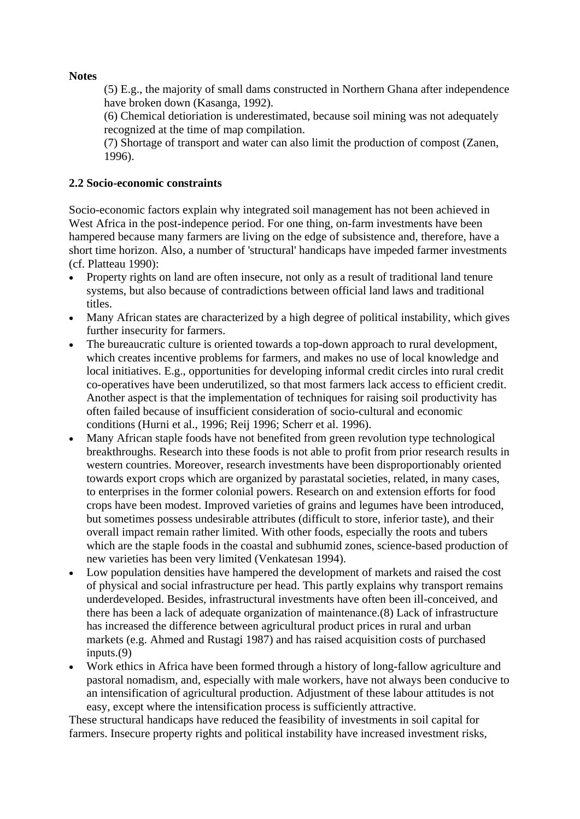# **Notes**

(5) E.g., the majority of small dams constructed in Northern Ghana after independence have broken down (Kasanga, 1992).

(6) Chemical detioriation is underestimated, because soil mining was not adequately recognized at the time of map compilation.

(7) Shortage of transport and water can also limit the production of compost (Zanen, 1996).

# **2.2 Socio-economic constraints**

Socio-economic factors explain why integrated soil management has not been achieved in West Africa in the post-indepence period. For one thing, on-farm investments have been hampered because many farmers are living on the edge of subsistence and, therefore, have a short time horizon. Also, a number of 'structural' handicaps have impeded farmer investments (cf. Platteau 1990):

- Property rights on land are often insecure, not only as a result of traditional land tenure systems, but also because of contradictions between official land laws and traditional titles.
- Many African states are characterized by a high degree of political instability, which gives further insecurity for farmers.
- The bureaucratic culture is oriented towards a top-down approach to rural development, which creates incentive problems for farmers, and makes no use of local knowledge and local initiatives. E.g., opportunities for developing informal credit circles into rural credit co-operatives have been underutilized, so that most farmers lack access to efficient credit. Another aspect is that the implementation of techniques for raising soil productivity has often failed because of insufficient consideration of socio-cultural and economic conditions (Hurni et al., 1996; Reij 1996; Scherr et al. 1996).
- Many African staple foods have not benefited from green revolution type technological breakthroughs. Research into these foods is not able to profit from prior research results in western countries. Moreover, research investments have been disproportionably oriented towards export crops which are organized by parastatal societies, related, in many cases, to enterprises in the former colonial powers. Research on and extension efforts for food crops have been modest. Improved varieties of grains and legumes have been introduced, but sometimes possess undesirable attributes (difficult to store, inferior taste), and their overall impact remain rather limited. With other foods, especially the roots and tubers which are the staple foods in the coastal and subhumid zones, science-based production of new varieties has been very limited (Venkatesan 1994).
- Low population densities have hampered the development of markets and raised the cost of physical and social infrastructure per head. This partly explains why transport remains underdeveloped. Besides, infrastructural investments have often been ill-conceived, and there has been a lack of adequate organization of maintenance.(8) Lack of infrastructure has increased the difference between agricultural product prices in rural and urban markets (e.g. Ahmed and Rustagi 1987) and has raised acquisition costs of purchased inputs.(9)
- Work ethics in Africa have been formed through a history of long-fallow agriculture and pastoral nomadism, and, especially with male workers, have not always been conducive to an intensification of agricultural production. Adjustment of these labour attitudes is not easy, except where the intensification process is sufficiently attractive.

These structural handicaps have reduced the feasibility of investments in soil capital for farmers. Insecure property rights and political instability have increased investment risks,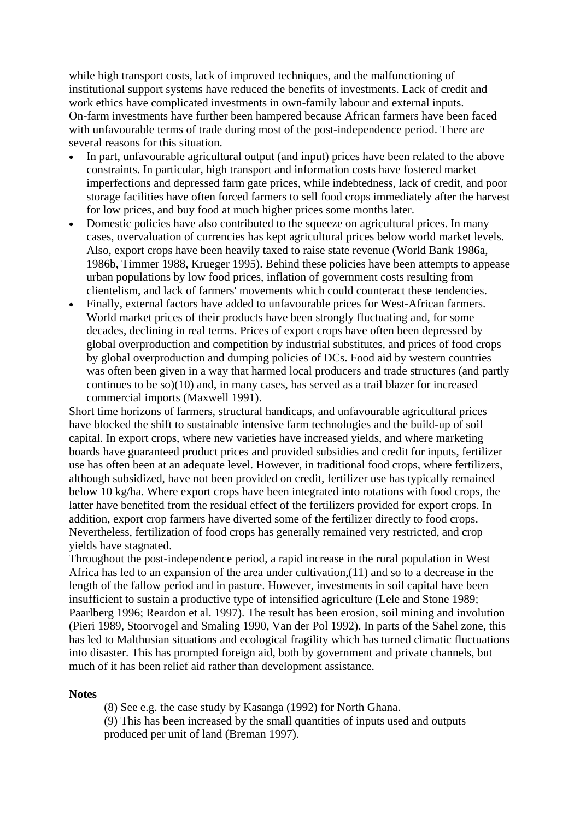while high transport costs, lack of improved techniques, and the malfunctioning of institutional support systems have reduced the benefits of investments. Lack of credit and work ethics have complicated investments in own-family labour and external inputs. On-farm investments have further been hampered because African farmers have been faced with unfavourable terms of trade during most of the post-independence period. There are several reasons for this situation.

- In part, unfavourable agricultural output (and input) prices have been related to the above constraints. In particular, high transport and information costs have fostered market imperfections and depressed farm gate prices, while indebtedness, lack of credit, and poor storage facilities have often forced farmers to sell food crops immediately after the harvest for low prices, and buy food at much higher prices some months later.
- Domestic policies have also contributed to the squeeze on agricultural prices. In many cases, overvaluation of currencies has kept agricultural prices below world market levels. Also, export crops have been heavily taxed to raise state revenue (World Bank 1986a, 1986b, Timmer 1988, Krueger 1995). Behind these policies have been attempts to appease urban populations by low food prices, inflation of government costs resulting from clientelism, and lack of farmers' movements which could counteract these tendencies.
- Finally, external factors have added to unfavourable prices for West-African farmers. World market prices of their products have been strongly fluctuating and, for some decades, declining in real terms. Prices of export crops have often been depressed by global overproduction and competition by industrial substitutes, and prices of food crops by global overproduction and dumping policies of DCs. Food aid by western countries was often been given in a way that harmed local producers and trade structures (and partly continues to be so)(10) and, in many cases, has served as a trail blazer for increased commercial imports (Maxwell 1991).

Short time horizons of farmers, structural handicaps, and unfavourable agricultural prices have blocked the shift to sustainable intensive farm technologies and the build-up of soil capital. In export crops, where new varieties have increased yields, and where marketing boards have guaranteed product prices and provided subsidies and credit for inputs, fertilizer use has often been at an adequate level. However, in traditional food crops, where fertilizers, although subsidized, have not been provided on credit, fertilizer use has typically remained below 10 kg/ha. Where export crops have been integrated into rotations with food crops, the latter have benefited from the residual effect of the fertilizers provided for export crops. In addition, export crop farmers have diverted some of the fertilizer directly to food crops. Nevertheless, fertilization of food crops has generally remained very restricted, and crop yields have stagnated.

Throughout the post-independence period, a rapid increase in the rural population in West Africa has led to an expansion of the area under cultivation,(11) and so to a decrease in the length of the fallow period and in pasture. However, investments in soil capital have been insufficient to sustain a productive type of intensified agriculture (Lele and Stone 1989; Paarlberg 1996; Reardon et al. 1997). The result has been erosion, soil mining and involution (Pieri 1989, Stoorvogel and Smaling 1990, Van der Pol 1992). In parts of the Sahel zone, this has led to Malthusian situations and ecological fragility which has turned climatic fluctuations into disaster. This has prompted foreign aid, both by government and private channels, but [m](http://www.sls.wau.nl/mi/mgs/publications/Wageningen_Economic_Papers/0998/wep09_2b.htm#Top#Top)uch of it has been relief aid rather than development assistance.

#### **Notes**

(8) See e.g. the case study by Kasanga (1992) for North Ghana. (9) This has been increased by the small quantities of inputs used and outputs produced per unit of land (Breman 1997).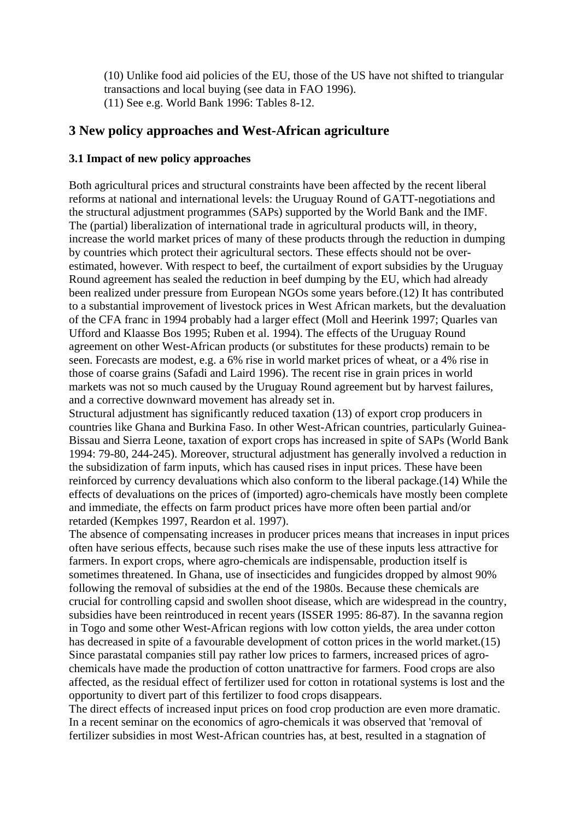(10) Unlike food aid policies of the EU, those of the US have not shifted to triangular transactions and local buying (see data in FAO 1996). (11) See e.g. World Bank 1996: Tables 8-12.

# **3 New policy approaches and West-African agriculture**

## **3.1 Impact of new policy approaches**

Both agricultural prices and structural constraints have been affected by the recent liberal reforms at national and international levels: the Uruguay Round of GATT-negotiations and the structural adjustment programmes (SAPs) supported by the World Bank and the IMF. The (partial) liberalization of international trade in agricultural products will, in theory, increase the world market prices of many of these products through the reduction in dumping by countries which protect their agricultural sectors. These effects should not be overestimated, however. With respect to beef, the curtailment of export subsidies by the Uruguay Round agreement has sealed the reduction in beef dumping by the EU, which had already been realized under pressure from European NGOs some years before.(12) It has contributed to a substantial improvement of livestock prices in West African markets, but the devaluation of the CFA franc in 1994 probably had a larger effect (Moll and Heerink 1997; Quarles van Ufford and Klaasse Bos 1995; Ruben et al. 1994). The effects of the Uruguay Round agreement on other West-African products (or substitutes for these products) remain to be seen. Forecasts are modest, e.g. a 6% rise in world market prices of wheat, or a 4% rise in those of coarse grains (Safadi and Laird 1996). The recent rise in grain prices in world markets was not so much caused by the Uruguay Round agreement but by harvest failures, and a corrective downward movement has already set in.

Structural adjustment has significantly reduced taxation (13) of export crop producers in countries like Ghana and Burkina Faso. In other West-African countries, particularly Guinea-Bissau and Sierra Leone, taxation of export crops has increased in spite of SAPs (World Bank 1994: 79-80, 244-245). Moreover, structural adjustment has generally involved a reduction in the subsidization of farm inputs, which has caused rises in input prices. These have been reinforced by currency devaluations which also conform to the liberal package.(14) While the effects of devaluations on the prices of (imported) agro-chemicals have mostly been complete and immediate, the effects on farm product prices have more often been partial and/or retarded (Kempkes 1997, Reardon et al. 1997).

The absence of compensating increases in producer prices means that increases in input prices often have serious effects, because such rises make the use of these inputs less attractive for farmers. In export crops, where agro-chemicals are indispensable, production itself is sometimes threatened. In Ghana, use of insecticides and fungicides dropped by almost 90% following the removal of subsidies at the end of the 1980s. Because these chemicals are crucial for controlling capsid and swollen shoot disease, which are widespread in the country, subsidies have been reintroduced in recent years (ISSER 1995: 86-87). In the savanna region in Togo and some other West-African regions with low cotton yields, the area under cotton has decreased in spite of a favourable development of cotton prices in the world market.(15) Since parastatal companies still pay rather low prices to farmers, increased prices of agrochemicals have made the production of cotton unattractive for farmers. Food crops are also affected, as the residual effect of fertilizer used for cotton in rotational systems is lost and the opportunity to divert part of this fertilizer to food crops disappears.

The direct effects of increased input prices on food crop production are even more dramatic. In a recent seminar on the economics of agro-chemicals it was observed that 'removal of fertilizer subsidies in most West-African countries has, at best, resulted in a stagnation of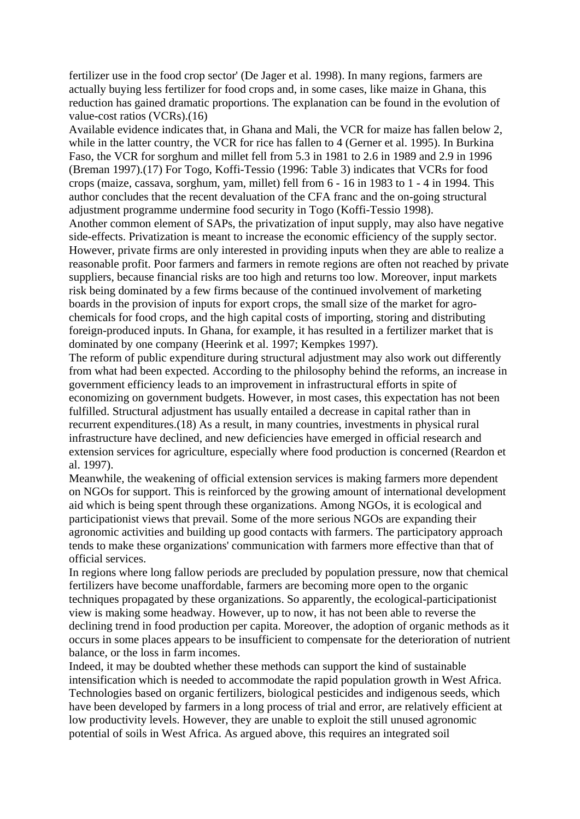fertilizer use in the food crop sector' (De Jager et al. 1998). In many regions, farmers are actually buying less fertilizer for food crops and, in some cases, like maize in Ghana, this reduction has gained dramatic proportions. The explanation can be found in the evolution of value-cost ratios (VCRs).(16)

Available evidence indicates that, in Ghana and Mali, the VCR for maize has fallen below 2, while in the latter country, the VCR for rice has fallen to 4 (Gerner et al. 1995). In Burkina Faso, the VCR for sorghum and millet fell from 5.3 in 1981 to 2.6 in 1989 and 2.9 in 1996 (Breman 1997).(17) For Togo, Koffi-Tessio (1996: Table 3) indicates that VCRs for food crops (maize, cassava, sorghum, yam, millet) fell from 6 - 16 in 1983 to 1 - 4 in 1994. This author concludes that the recent devaluation of the CFA franc and the on-going structural adjustment programme undermine food security in Togo (Koffi-Tessio 1998).

Another common element of SAPs, the privatization of input supply, may also have negative side-effects. Privatization is meant to increase the economic efficiency of the supply sector. However, private firms are only interested in providing inputs when they are able to realize a reasonable profit. Poor farmers and farmers in remote regions are often not reached by private suppliers, because financial risks are too high and returns too low. Moreover, input markets risk being dominated by a few firms because of the continued involvement of marketing boards in the provision of inputs for export crops, the small size of the market for agrochemicals for food crops, and the high capital costs of importing, storing and distributing foreign-produced inputs. In Ghana, for example, it has resulted in a fertilizer market that is dominated by one company (Heerink et al. 1997; Kempkes 1997).

The reform of public expenditure during structural adjustment may also work out differently from what had been expected. According to the philosophy behind the reforms, an increase in government efficiency leads to an improvement in infrastructural efforts in spite of economizing on government budgets. However, in most cases, this expectation has not been fulfilled. Structural adjustment has usually entailed a decrease in capital rather than in recurrent expenditures.(18) As a result, in many countries, investments in physical rural infrastructure have declined, and new deficiencies have emerged in official research and extension services for agriculture, especially where food production is concerned (Reardon et al. 1997).

Meanwhile, the weakening of official extension services is making farmers more dependent on NGOs for support. This is reinforced by the growing amount of international development aid which is being spent through these organizations. Among NGOs, it is ecological and participationist views that prevail. Some of the more serious NGOs are expanding their agronomic activities and building up good contacts with farmers. The participatory approach tends to make these organizations' communication with farmers more effective than that of official services.

In regions where long fallow periods are precluded by population pressure, now that chemical fertilizers have become unaffordable, farmers are becoming more open to the organic techniques propagated by these organizations. So apparently, the ecological-participationist view is making some headway. However, up to now, it has not been able to reverse the declining trend in food production per capita. Moreover, the adoption of organic methods as it occurs in some places appears to be insufficient to compensate for the deterioration of nutrient balance, or the loss in farm incomes.

Indeed, it may be doubted whether these methods can support the kind of sustainable intensification which is needed to accommodate the rapid population growth in West Africa. Technologies based on organic fertilizers, biological pesticides and indigenous seeds, which have been developed by farmers in a long process of trial and error, are relatively efficient at low productivity levels. However, they are unable to exploit the still unused agronomic potential of soils in West Africa. As argued above, this requires an integrated soil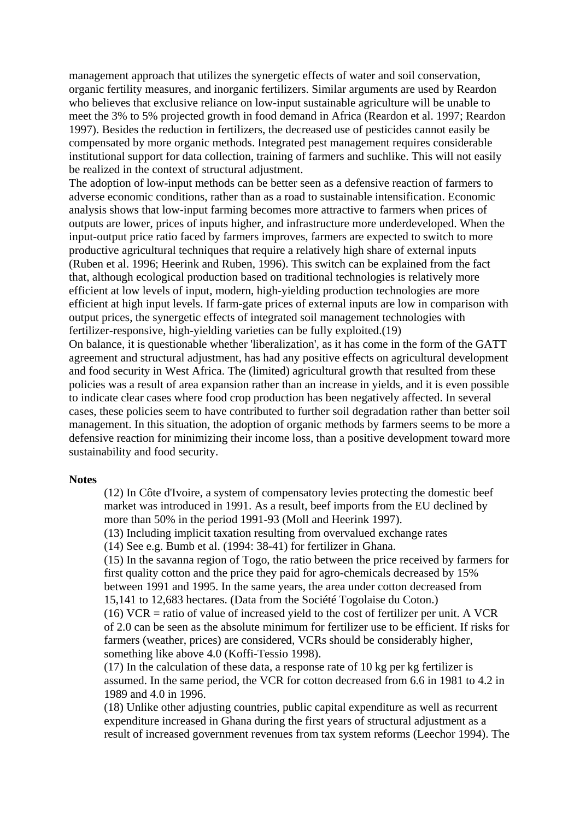management approach that utilizes the synergetic effects of water and soil conservation, organic fertility measures, and inorganic fertilizers. Similar arguments are used by Reardon who believes that exclusive reliance on low-input sustainable agriculture will be unable to meet the 3% to 5% projected growth in food demand in Africa (Reardon et al. 1997; Reardon 1997). Besides the reduction in fertilizers, the decreased use of pesticides cannot easily be compensated by more organic methods. Integrated pest management requires considerable institutional support for data collection, training of farmers and suchlike. This will not easily be realized in the context of structural adjustment.

The adoption of low-input methods can be better seen as a defensive reaction of farmers to adverse economic conditions, rather than as a road to sustainable intensification. Economic analysis shows that low-input farming becomes more attractive to farmers when prices of outputs are lower, prices of inputs higher, and infrastructure more underdeveloped. When the input-output price ratio faced by farmers improves, farmers are expected to switch to more productive agricultural techniques that require a relatively high share of external inputs (Ruben et al. 1996; Heerink and Ruben, 1996). This switch can be explained from the fact that, although ecological production based on traditional technologies is relatively more efficient at low levels of input, modern, high-yielding production technologies are more efficient at high input levels. If farm-gate prices of external inputs are low in comparison with output prices, the synergetic effects of integrated soil management technologies with fertilizer-responsive, high-yielding varieties can be fully exploited.(19)

On balance, it is questionable whether 'liberalization', as it has come in the form of the GATT agreement and structural adjustment, has had any positive effects on agricultural development and food security in West Africa. The (limited) agricultural growth that resulted from these policies was a result of area expansion rather than an increase in yields, and it is even possible to indicate clear cases where food crop production has been negatively affected. In several cases, these policies seem to have contributed to further soil degradation rather than better soil management. In this situation, the adoption of organic methods by farmers seems to be more a defensive reaction for minimizing their income loss, than a positive development toward more [s](http://www.sls.wau.nl/mi/mgs/publications/Wageningen_Economic_Papers/0998/wep09_3a.htm#Top#Top)ustainability and food security.

#### **Notes**

(12) In Côte d'Ivoire, a system of compensatory levies protecting the domestic beef market was introduced in 1991. As a result, beef imports from the EU declined by more than 50% in the period 1991-93 (Moll and Heerink 1997).

(13) Including implicit taxation resulting from overvalued exchange rates

(14) See e.g. Bumb et al. (1994: 38-41) for fertilizer in Ghana.

(15) In the savanna region of Togo, the ratio between the price received by farmers for first quality cotton and the price they paid for agro-chemicals decreased by 15% between 1991 and 1995. In the same years, the area under cotton decreased from 15,141 to 12,683 hectares. (Data from the Société Togolaise du Coton.)

 $(16)$  VCR = ratio of value of increased yield to the cost of fertilizer per unit. A VCR of 2.0 can be seen as the absolute minimum for fertilizer use to be efficient. If risks for farmers (weather, prices) are considered, VCRs should be considerably higher, something like above 4.0 (Koffi-Tessio 1998).

(17) In the calculation of these data, a response rate of 10 kg per kg fertilizer is assumed. In the same period, the VCR for cotton decreased from 6.6 in 1981 to 4.2 in 1989 and 4.0 in 1996.

(18) Unlike other adjusting countries, public capital expenditure as well as recurrent expenditure increased in Ghana during the first years of structural adjustment as a result of increased government revenues from tax system reforms (Leechor 1994). The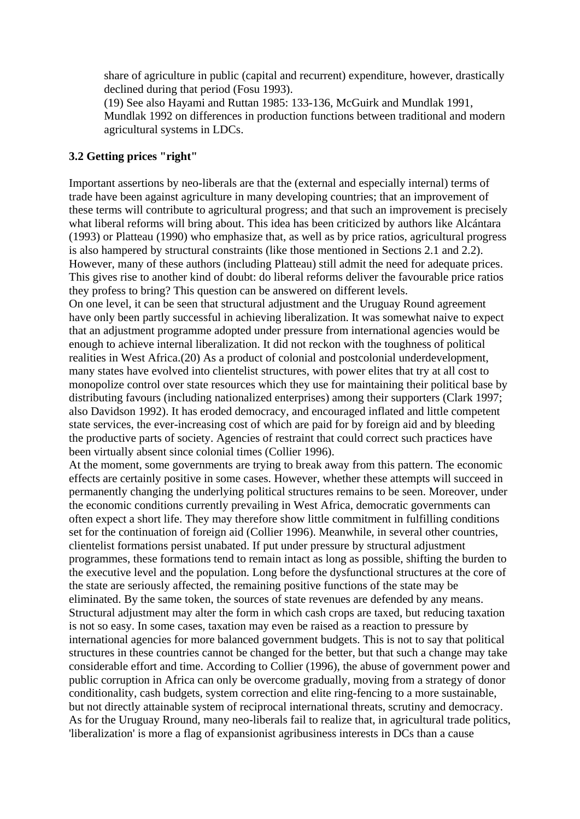share of agriculture in public (capital and recurrent) expenditure, however, drastically declined during that period (Fosu 1993).

(19) See also Hayami and Ruttan 1985: 133-136, McGuirk and Mundlak 1991, Mundlak 1992 on differences in production functions between traditional and modern agricultural systems in LDCs.

## **3.2 Getting prices "right"**

Important assertions by neo-liberals are that the (external and especially internal) terms of trade have been against agriculture in many developing countries; that an improvement of these terms will contribute to agricultural progress; and that such an improvement is precisely what liberal reforms will bring about. This idea has been criticized by authors like Alcántara (1993) or Platteau (1990) who emphasize that, as well as by price ratios, agricultural progress is also hampered by structural constraints (like those mentioned in Sections 2.1 and 2.2). However, many of these authors (including Platteau) still admit the need for adequate prices. This gives rise to another kind of doubt: do liberal reforms deliver the favourable price ratios they profess to bring? This question can be answered on different levels.

On one level, it can be seen that structural adjustment and the Uruguay Round agreement have only been partly successful in achieving liberalization. It was somewhat naive to expect that an adjustment programme adopted under pressure from international agencies would be enough to achieve internal liberalization. It did not reckon with the toughness of political realities in West Africa.(20) As a product of colonial and postcolonial underdevelopment, many states have evolved into clientelist structures, with power elites that try at all cost to monopolize control over state resources which they use for maintaining their political base by distributing favours (including nationalized enterprises) among their supporters (Clark 1997; also Davidson 1992). It has eroded democracy, and encouraged inflated and little competent state services, the ever-increasing cost of which are paid for by foreign aid and by bleeding the productive parts of society. Agencies of restraint that could correct such practices have been virtually absent since colonial times (Collier 1996).

At the moment, some governments are trying to break away from this pattern. The economic effects are certainly positive in some cases. However, whether these attempts will succeed in permanently changing the underlying political structures remains to be seen. Moreover, under the economic conditions currently prevailing in West Africa, democratic governments can often expect a short life. They may therefore show little commitment in fulfilling conditions set for the continuation of foreign aid (Collier 1996). Meanwhile, in several other countries, clientelist formations persist unabated. If put under pressure by structural adjustment programmes, these formations tend to remain intact as long as possible, shifting the burden to the executive level and the population. Long before the dysfunctional structures at the core of the state are seriously affected, the remaining positive functions of the state may be eliminated. By the same token, the sources of state revenues are defended by any means. Structural adjustment may alter the form in which cash crops are taxed, but reducing taxation is not so easy. In some cases, taxation may even be raised as a reaction to pressure by international agencies for more balanced government budgets. This is not to say that political structures in these countries cannot be changed for the better, but that such a change may take considerable effort and time. According to Collier (1996), the abuse of government power and public corruption in Africa can only be overcome gradually, moving from a strategy of donor conditionality, cash budgets, system correction and elite ring-fencing to a more sustainable, but not directly attainable system of reciprocal international threats, scrutiny and democracy. As for the Uruguay Rround, many neo-liberals fail to realize that, in agricultural trade politics, 'liberalization' is more a flag of expansionist agribusiness interests in DCs than a cause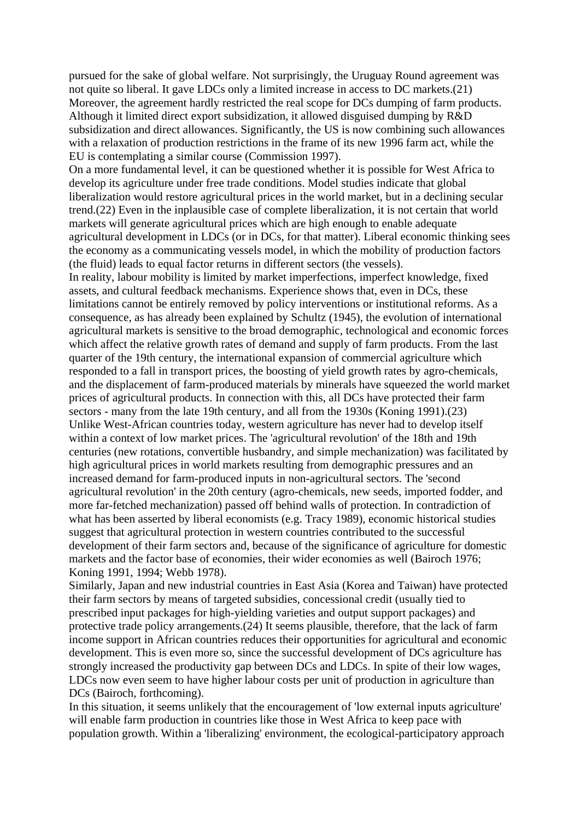pursued for the sake of global welfare. Not surprisingly, the Uruguay Round agreement was not quite so liberal. It gave LDCs only a limited increase in access to DC markets.(21) Moreover, the agreement hardly restricted the real scope for DCs dumping of farm products. Although it limited direct export subsidization, it allowed disguised dumping by R&D subsidization and direct allowances. Significantly, the US is now combining such allowances with a relaxation of production restrictions in the frame of its new 1996 farm act, while the EU is contemplating a similar course (Commission 1997).

On a more fundamental level, it can be questioned whether it is possible for West Africa to develop its agriculture under free trade conditions. Model studies indicate that global liberalization would restore agricultural prices in the world market, but in a declining secular trend.(22) Even in the inplausible case of complete liberalization, it is not certain that world markets will generate agricultural prices which are high enough to enable adequate agricultural development in LDCs (or in DCs, for that matter). Liberal economic thinking sees the economy as a communicating vessels model, in which the mobility of production factors (the fluid) leads to equal factor returns in different sectors (the vessels).

In reality, labour mobility is limited by market imperfections, imperfect knowledge, fixed assets, and cultural feedback mechanisms. Experience shows that, even in DCs, these limitations cannot be entirely removed by policy interventions or institutional reforms. As a consequence, as has already been explained by Schultz (1945), the evolution of international agricultural markets is sensitive to the broad demographic, technological and economic forces which affect the relative growth rates of demand and supply of farm products. From the last quarter of the 19th century, the international expansion of commercial agriculture which responded to a fall in transport prices, the boosting of yield growth rates by agro-chemicals, and the displacement of farm-produced materials by minerals have squeezed the world market prices of agricultural products. In connection with this, all DCs have protected their farm sectors - many from the late 19th century, and all from the 1930s (Koning 1991).(23) Unlike West-African countries today, western agriculture has never had to develop itself within a context of low market prices. The 'agricultural revolution' of the 18th and 19th centuries (new rotations, convertible husbandry, and simple mechanization) was facilitated by high agricultural prices in world markets resulting from demographic pressures and an increased demand for farm-produced inputs in non-agricultural sectors. The 'second agricultural revolution' in the 20th century (agro-chemicals, new seeds, imported fodder, and more far-fetched mechanization) passed off behind walls of protection. In contradiction of what has been asserted by liberal economists (e.g. Tracy 1989), economic historical studies suggest that agricultural protection in western countries contributed to the successful development of their farm sectors and, because of the significance of agriculture for domestic markets and the factor base of economies, their wider economies as well (Bairoch 1976; Koning 1991, 1994; Webb 1978).

Similarly, Japan and new industrial countries in East Asia (Korea and Taiwan) have protected their farm sectors by means of targeted subsidies, concessional credit (usually tied to prescribed input packages for high-yielding varieties and output support packages) and protective trade policy arrangements.(24) It seems plausible, therefore, that the lack of farm income support in African countries reduces their opportunities for agricultural and economic development. This is even more so, since the successful development of DCs agriculture has strongly increased the productivity gap between DCs and LDCs. In spite of their low wages, LDCs now even seem to have higher labour costs per unit of production in agriculture than DCs (Bairoch, forthcoming).

In this situation, it seems unlikely that the encouragement of 'low external inputs agriculture' will enable farm production in countries like those in West Africa to keep pace with population growth. Within a 'liberalizing' environment, the ecological-participatory approach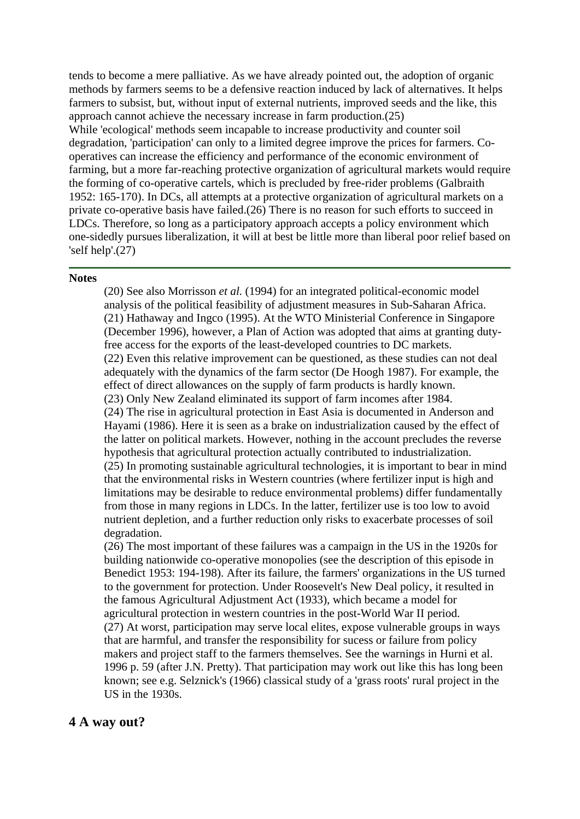tends to become a mere palliative. As we have already pointed out, the adoption of organic methods by farmers seems to be a defensive reaction induced by lack of alternatives. It helps farmers to subsist, but, without input of external nutrients, improved seeds and the like, this approach cannot achieve the necessary increase in farm production.(25) While 'ecological' methods seem incapable to increase productivity and counter soil degradation, 'participation' can only to a limited degree improve the prices for farmers. Cooperatives can increase the efficiency and performance of the economic environment of farming, but a more far-reaching protective organization of agricultural markets would require the forming of co-operative cartels, which is precluded by free-rider problems (Galbraith 1952: 165-170). In DCs, all attempts at a protective organization of agricultural markets on a private co-operative basis have failed.(26) There is no reason for such efforts to succeed in LDCs. Therefore, so long as a participatory approach accepts a policy environment which one-sidedly pursues liberalization, it will at best be little more than liberal poor relief based on ['s](http://www.sls.wau.nl/mi/mgs/publications/Wageningen_Economic_Papers/0998/wep09_3b.htm#Top#Top)elf help'.(27)

#### **Notes**

(20) See also Morrisson *et al.* (1994) for an integrated political-economic model analysis of the political feasibility of adjustment measures in Sub-Saharan Africa. (21) Hathaway and Ingco (1995). At the WTO Ministerial Conference in Singapore (December 1996), however, a Plan of Action was adopted that aims at granting dutyfree access for the exports of the least-developed countries to DC markets. (22) Even this relative improvement can be questioned, as these studies can not deal adequately with the dynamics of the farm sector (De Hoogh 1987). For example, the effect of direct allowances on the supply of farm products is hardly known. (23) Only New Zealand eliminated its support of farm incomes after 1984. (24) The rise in agricultural protection in East Asia is documented in Anderson and Hayami (1986). Here it is seen as a brake on industrialization caused by the effect of the latter on political markets. However, nothing in the account precludes the reverse hypothesis that agricultural protection actually contributed to industrialization. (25) In promoting sustainable agricultural technologies, it is important to bear in mind that the environmental risks in Western countries (where fertilizer input is high and limitations may be desirable to reduce environmental problems) differ fundamentally from those in many regions in LDCs. In the latter, fertilizer use is too low to avoid nutrient depletion, and a further reduction only risks to exacerbate processes of soil degradation.

(26) The most important of these failures was a campaign in the US in the 1920s for building nationwide co-operative monopolies (see the description of this episode in Benedict 1953: 194-198). After its failure, the farmers' organizations in the US turned to the government for protection. Under Roosevelt's New Deal policy, it resulted in the famous Agricultural Adjustment Act (1933), which became a model for agricultural protection in western countries in the post-World War II period. (27) At worst, participation may serve local elites, expose vulnerable groups in ways that are harmful, and transfer the responsibility for sucess or failure from policy makers and project staff to the farmers themselves. See the warnings in Hurni et al. 1996 p. 59 (after J.N. Pretty). That participation may work out like this has long been known; see e.g. Selznick's (1966) classical study of a 'grass roots' rural project in the US in the 1930s.

# **4 A way out?**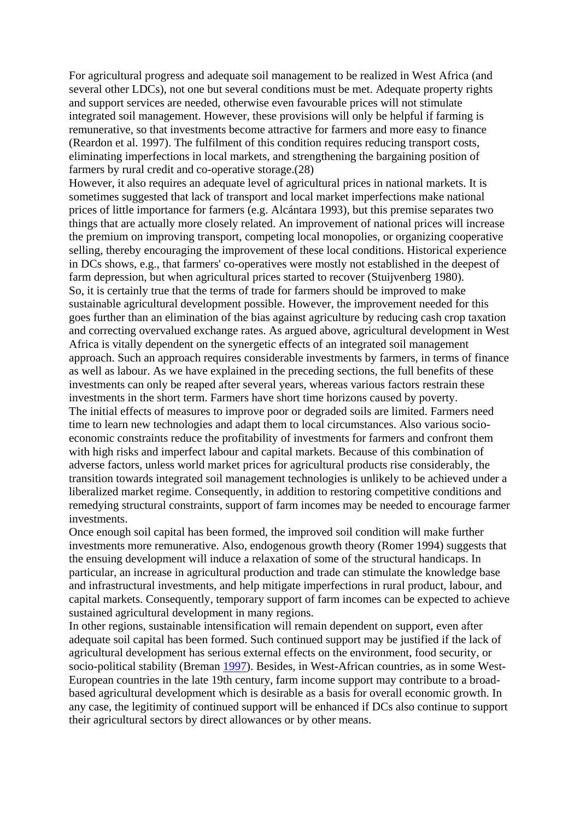For agricultural progress and adequate soil management to be realized in West Africa (and several other LDCs), not one but several conditions must be met. Adequate property rights and support services are needed, otherwise even favourable prices will not stimulate integrated soil management. However, these provisions will only be helpful if farming is remunerative, so that investments become attractive for farmers and more easy to finance (Reardon et al. 1997). The fulfilment of this condition requires reducing transport costs, eliminating imperfections in local markets, and strengthening the bargaining position of farmers by rural credit and co-operative storage.(28)

However, it also requires an adequate level of agricultural prices in national markets. It is sometimes suggested that lack of transport and local market imperfections make national prices of little importance for farmers (e.g. Alcántara 1993), but this premise separates two things that are actually more closely related. An improvement of national prices will increase the premium on improving transport, competing local monopolies, or organizing cooperative selling, thereby encouraging the improvement of these local conditions. Historical experience in DCs shows, e.g., that farmers' co-operatives were mostly not established in the deepest of farm depression, but when agricultural prices started to recover (Stuijvenberg 1980). So, it is certainly true that the terms of trade for farmers should be improved to make sustainable agricultural development possible. However, the improvement needed for this goes further than an elimination of the bias against agriculture by reducing cash crop taxation and correcting overvalued exchange rates. As argued above, agricultural development in West Africa is vitally dependent on the synergetic effects of an integrated soil management approach. Such an approach requires considerable investments by farmers, in terms of finance as well as labour. As we have explained in the preceding sections, the full benefits of these investments can only be reaped after several years, whereas various factors restrain these investments in the short term. Farmers have short time horizons caused by poverty. The initial effects of measures to improve poor or degraded soils are limited. Farmers need time to learn new technologies and adapt them to local circumstances. Also various socioeconomic constraints reduce the profitability of investments for farmers and confront them with high risks and imperfect labour and capital markets. Because of this combination of adverse factors, unless world market prices for agricultural products rise considerably, the transition towards integrated soil management technologies is unlikely to be achieved under a liberalized market regime. Consequently, in addition to restoring competitive conditions and remedying structural constraints, support of farm incomes may be needed to encourage farmer investments.

Once enough soil capital has been formed, the improved soil condition will make further investments more remunerative. Also, endogenous growth theory (Romer 1994) suggests that the ensuing development will induce a relaxation of some of the structural handicaps. In particular, an increase in agricultural production and trade can stimulate the knowledge base and infrastructural investments, and help mitigate imperfections in rural product, labour, and capital markets. Consequently, temporary support of farm incomes can be expected to achieve sustained agricultural development in many regions.

In other regions, sustainable intensification will remain dependent on support, even after adequate soil capital has been formed. Such continued support may be justified if the lack of agricultural development has serious external effects on the environment, food security, or socio-political stability (Breman [1997](http://www.sls.wau.nl/mi/mgs/publications/Wageningen_Economic_Papers/0998/wep09_rf.htm#refnr10)). Besides, in West-African countries, as in some West-European countries in the late 19th century, farm income support may contribute to a broadbased agricultural development which is desirable as a basis for overall economic growth. In any case, the legitimity of continued support will be enhanced if DCs also continue to support their agricultural sectors by direct allowances or by other means.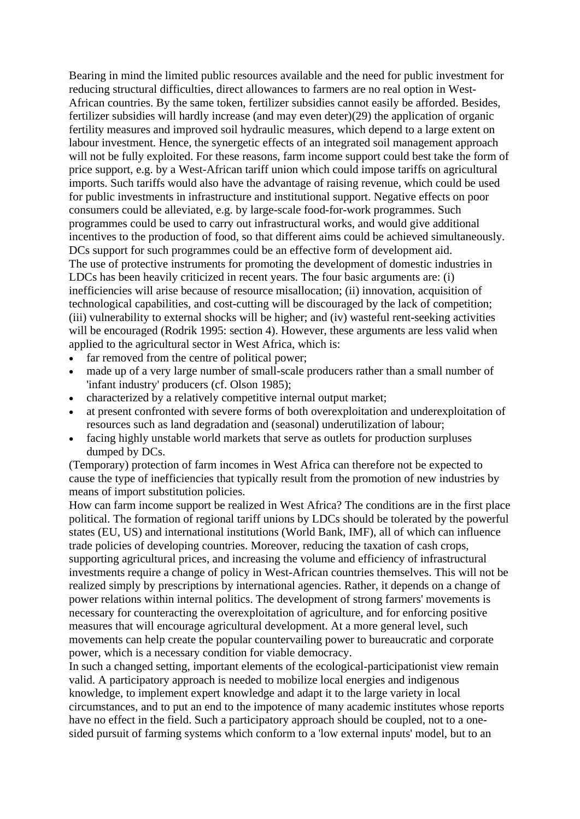Bearing in mind the limited public resources available and the need for public investment for reducing structural difficulties, direct allowances to farmers are no real option in West-African countries. By the same token, fertilizer subsidies cannot easily be afforded. Besides, fertilizer subsidies will hardly increase (and may even deter)(29) the application of organic fertility measures and improved soil hydraulic measures, which depend to a large extent on labour investment. Hence, the synergetic effects of an integrated soil management approach will not be fully exploited. For these reasons, farm income support could best take the form of price support, e.g. by a West-African tariff union which could impose tariffs on agricultural imports. Such tariffs would also have the advantage of raising revenue, which could be used for public investments in infrastructure and institutional support. Negative effects on poor consumers could be alleviated, e.g. by large-scale food-for-work programmes. Such programmes could be used to carry out infrastructural works, and would give additional incentives to the production of food, so that different aims could be achieved simultaneously. DCs support for such programmes could be an effective form of development aid. The use of protective instruments for promoting the development of domestic industries in LDCs has been heavily criticized in recent years. The four basic arguments are: (i) inefficiencies will arise because of resource misallocation; (ii) innovation, acquisition of technological capabilities, and cost-cutting will be discouraged by the lack of competition; (iii) vulnerability to external shocks will be higher; and (iv) wasteful rent-seeking activities will be encouraged (Rodrik 1995: section 4). However, these arguments are less valid when applied to the agricultural sector in West Africa, which is:

- far removed from the centre of political power;
- made up of a very large number of small-scale producers rather than a small number of 'infant industry' producers (cf. Olson 1985);
- characterized by a relatively competitive internal output market;
- at present confronted with severe forms of both overexploitation and underexploitation of resources such as land degradation and (seasonal) underutilization of labour;
- facing highly unstable world markets that serve as outlets for production surpluses dumped by DCs.

(Temporary) protection of farm incomes in West Africa can therefore not be expected to cause the type of inefficiencies that typically result from the promotion of new industries by means of import substitution policies.

How can farm income support be realized in West Africa? The conditions are in the first place political. The formation of regional tariff unions by LDCs should be tolerated by the powerful states (EU, US) and international institutions (World Bank, IMF), all of which can influence trade policies of developing countries. Moreover, reducing the taxation of cash crops, supporting agricultural prices, and increasing the volume and efficiency of infrastructural investments require a change of policy in West-African countries themselves. This will not be realized simply by prescriptions by international agencies. Rather, it depends on a change of power relations within internal politics. The development of strong farmers' movements is necessary for counteracting the overexploitation of agriculture, and for enforcing positive measures that will encourage agricultural development. At a more general level, such movements can help create the popular countervailing power to bureaucratic and corporate power, which is a necessary condition for viable democracy.

In such a changed setting, important elements of the ecological-participationist view remain valid. A participatory approach is needed to mobilize local energies and indigenous knowledge, to implement expert knowledge and adapt it to the large variety in local circumstances, and to put an end to the impotence of many academic institutes whose reports have no effect in the field. Such a participatory approach should be coupled, not to a onesided pursuit of farming systems which conform to a 'low external inputs' model, but to an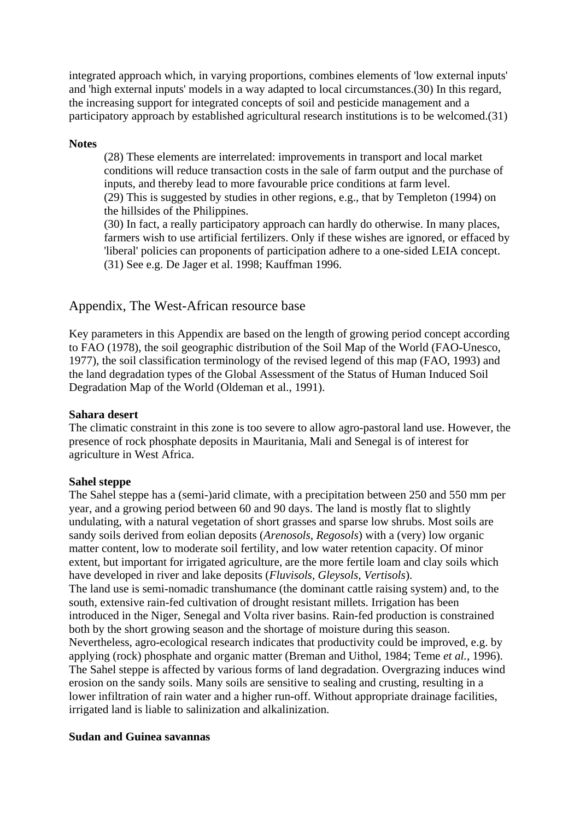integrated approach which, in varying proportions, combines elements of 'low external inputs' and 'high external inputs' models in a way adapted to local circumstances.(30) In this regard, the increasing support for integrated concepts of soil and pesticide management and a [p](http://www.sls.wau.nl/mi/mgs/publications/Wageningen_Economic_Papers/0998/wep09_4.htm#Top#Top)articipatory approach by established agricultural research institutions is to be welcomed.(31)

#### **Notes**

(28) These elements are interrelated: improvements in transport and local market conditions will reduce transaction costs in the sale of farm output and the purchase of inputs, and thereby lead to more favourable price conditions at farm level. (29) This is suggested by studies in other regions, e.g., that by Templeton (1994) on the hillsides of the Philippines.

(30) In fact, a really participatory approach can hardly do otherwise. In many places, farmers wish to use artificial fertilizers. Only if these wishes are ignored, or effaced by 'liberal' policies can proponents of participation adhere to a one-sided LEIA concept. (31) See e.g. De Jager et al. 1998; Kauffman 1996.

## Appendix, The West-African resource base

Key parameters in this Appendix are based on the length of growing period concept according to FAO (1978), the soil geographic distribution of the Soil Map of the World (FAO-Unesco, 1977), the soil classification terminology of the revised legend of this map (FAO, 1993) and the land degradation types of the Global Assessment of the Status of Human Induced Soil Degradation Map of the World (Oldeman et al., 1991).

#### **Sahara desert**

The climatic constraint in this zone is too severe to allow agro-pastoral land use. However, the presence of rock phosphate deposits in Mauritania, Mali and Senegal is of interest for agriculture in West Africa.

#### **Sahel steppe**

The Sahel steppe has a (semi-)arid climate, with a precipitation between 250 and 550 mm per year, and a growing period between 60 and 90 days. The land is mostly flat to slightly undulating, with a natural vegetation of short grasses and sparse low shrubs. Most soils are sandy soils derived from eolian deposits (*Arenosols, Regosols*) with a (very) low organic matter content, low to moderate soil fertility, and low water retention capacity. Of minor extent, but important for irrigated agriculture, are the more fertile loam and clay soils which have developed in river and lake deposits (*Fluvisols, Gleysols, Vertisols*). The land use is semi-nomadic transhumance (the dominant cattle raising system) and, to the south, extensive rain-fed cultivation of drought resistant millets. Irrigation has been introduced in the Niger, Senegal and Volta river basins. Rain-fed production is constrained both by the short growing season and the shortage of moisture during this season. Nevertheless, agro-ecological research indicates that productivity could be improved, e.g. by applying (rock) phosphate and organic matter (Breman and Uithol, 1984; Teme *et al.*, 1996). The Sahel steppe is affected by various forms of land degradation. Overgrazing induces wind erosion on the sandy soils. Many soils are sensitive to sealing and crusting, resulting in a lower infiltration of rain water and a higher run-off. Without appropriate drainage facilities, irrigated land is liable to salinization and alkalinization.

#### **Sudan and Guinea savannas**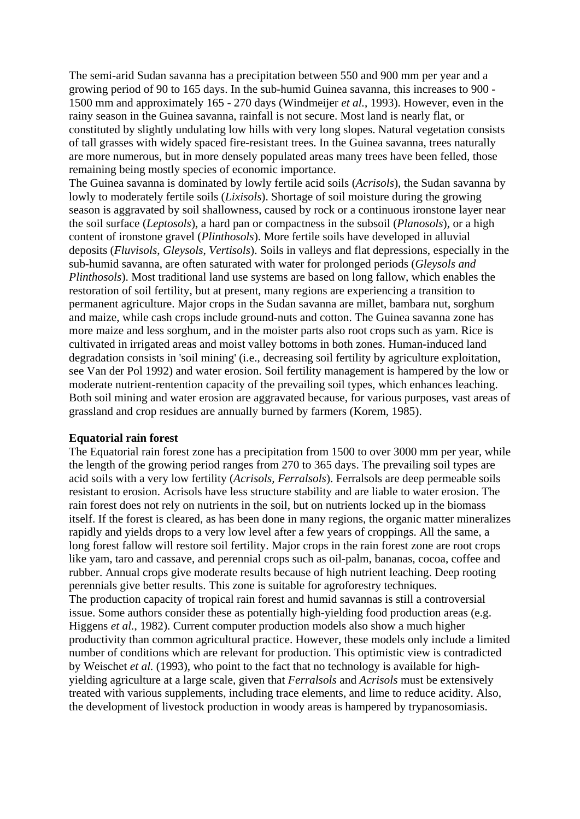The semi-arid Sudan savanna has a precipitation between 550 and 900 mm per year and a growing period of 90 to 165 days. In the sub-humid Guinea savanna, this increases to 900 - 1500 mm and approximately 165 - 270 days (Windmeijer *et al.*, 1993). However, even in the rainy season in the Guinea savanna, rainfall is not secure. Most land is nearly flat, or constituted by slightly undulating low hills with very long slopes. Natural vegetation consists of tall grasses with widely spaced fire-resistant trees. In the Guinea savanna, trees naturally are more numerous, but in more densely populated areas many trees have been felled, those remaining being mostly species of economic importance.

The Guinea savanna is dominated by lowly fertile acid soils (*Acrisols*), the Sudan savanna by lowly to moderately fertile soils (*Lixisols*). Shortage of soil moisture during the growing season is aggravated by soil shallowness, caused by rock or a continuous ironstone layer near the soil surface (*Leptosols*), a hard pan or compactness in the subsoil (*Planosols*), or a high content of ironstone gravel (*Plinthosols*). More fertile soils have developed in alluvial deposits (*Fluvisols*, *Gleysols*, *Vertisols*). Soils in valleys and flat depressions, especially in the sub-humid savanna, are often saturated with water for prolonged periods (*Gleysols and Plinthosols*). Most traditional land use systems are based on long fallow, which enables the restoration of soil fertility, but at present, many regions are experiencing a transition to permanent agriculture. Major crops in the Sudan savanna are millet, bambara nut, sorghum and maize, while cash crops include ground-nuts and cotton. The Guinea savanna zone has more maize and less sorghum, and in the moister parts also root crops such as yam. Rice is cultivated in irrigated areas and moist valley bottoms in both zones. Human-induced land degradation consists in 'soil mining' (i.e., decreasing soil fertility by agriculture exploitation, see Van der Pol 1992) and water erosion. Soil fertility management is hampered by the low or moderate nutrient-rentention capacity of the prevailing soil types, which enhances leaching. Both soil mining and water erosion are aggravated because, for various purposes, vast areas of grassland and crop residues are annually burned by farmers (Korem, 1985).

#### **Equatorial rain forest**

The Equatorial rain forest zone has a precipitation from 1500 to over 3000 mm per year, while the length of the growing period ranges from 270 to 365 days. The prevailing soil types are acid soils with a very low fertility (*Acrisols, Ferralsols*). Ferralsols are deep permeable soils resistant to erosion. Acrisols have less structure stability and are liable to water erosion. The rain forest does not rely on nutrients in the soil, but on nutrients locked up in the biomass itself. If the forest is cleared, as has been done in many regions, the organic matter mineralizes rapidly and yields drops to a very low level after a few years of croppings. All the same, a long forest fallow will restore soil fertility. Major crops in the rain forest zone are root crops like yam, taro and cassave, and perennial crops such as oil-palm, bananas, cocoa, coffee and rubber. Annual crops give moderate results because of high nutrient leaching. Deep rooting perennials give better results. This zone is suitable for agroforestry techniques. The production capacity of tropical rain forest and humid savannas is still a controversial issue. Some authors consider these as potentially high-yielding food production areas (e.g. Higgens *et al.*, 1982). Current computer production models also show a much higher productivity than common agricultural practice. However, these models only include a limited number of conditions which are relevant for production. This optimistic view is contradicted by Weischet *et al.* (1993), who point to the fact that no technology is available for highyielding agriculture at a large scale, given that *Ferralsols* and *Acrisols* must be extensively treated with various supplements, including trace elements, and lime to reduce acidity. Also, the development of livestock production in woody areas is hampered by trypanosomiasis.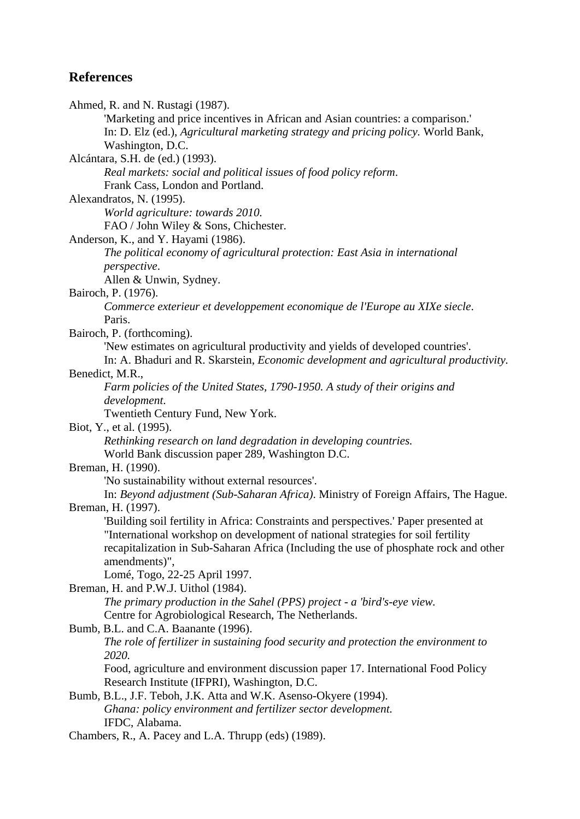# **References**

Ahmed, R. and N. Rustagi (1987). 'Marketing and price incentives in African and Asian countries: a comparison.' In: D. Elz (ed.), *Agricultural marketing strategy and pricing policy.* World Bank, Washington, D.C. Alcántara, S.H. de (ed.) (1993). *Real markets: social and political issues of food policy reform*. Frank Cass, London and Portland. Alexandratos, N. (1995). *World agriculture: towards 2010.* FAO / John Wiley & Sons, Chichester. Anderson, K., and Y. Hayami (1986). *The political economy of agricultural protection: East Asia in international perspective*. Allen & Unwin, Sydney. Bairoch, P. (1976). *Commerce exterieur et developpement economique de l'Europe au XIXe siecle*. Paris. Bairoch, P. (forthcoming). 'New estimates on agricultural productivity and yields of developed countries'. In: A. Bhaduri and R. Skarstein, *Economic development and agricultural productivity.* Benedict, M.R., *Farm policies of the United States, 1790-1950. A study of their origins and development*. Twentieth Century Fund, New York. Biot, Y., et al. (1995). *Rethinking research on land degradation in developing countries.* World Bank discussion paper 289, Washington D.C. Breman, H. (1990). 'No sustainability without external resources'. In: *Beyond adjustment (Sub-Saharan Africa)*. Ministry of Foreign Affairs, The Hague. Breman, H. (1997). 'Building soil fertility in Africa: Constraints and perspectives.' Paper presented at "International workshop on development of national strategies for soil fertility recapitalization in Sub-Saharan Africa (Including the use of phosphate rock and other amendments)", Lomé, Togo, 22-25 April 1997. Breman, H. and P.W.J. Uithol (1984). *The primary production in the Sahel (PPS) project - a 'bird's-eye view.* Centre for Agrobiological Research, The Netherlands. Bumb, B.L. and C.A. Baanante (1996). *The role of fertilizer in sustaining food security and protection the environment to 2020.* Food, agriculture and environment discussion paper 17. International Food Policy Research Institute (IFPRI), Washington, D.C. Bumb, B.L., J.F. Teboh, J.K. Atta and W.K. Asenso-Okyere (1994). *Ghana: policy environment and fertilizer sector development.* IFDC, Alabama. Chambers, R., A. Pacey and L.A. Thrupp (eds) (1989).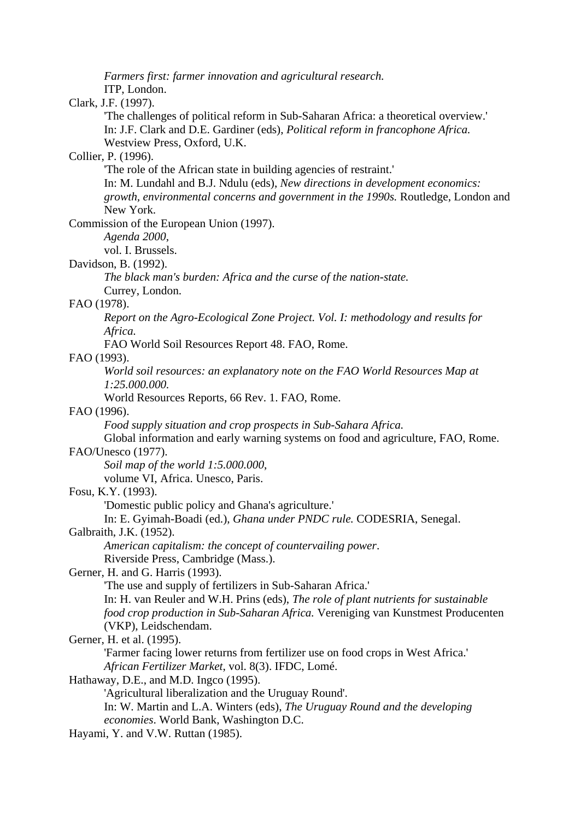*Farmers first: farmer innovation and agricultural research.*

ITP, London.

#### Clark, J.F. (1997).

'The challenges of political reform in Sub-Saharan Africa: a theoretical overview.' In: J.F. Clark and D.E. Gardiner (eds), *Political reform in francophone Africa.* Westview Press, Oxford, U.K.

# Collier, P. (1996).

'The role of the African state in building agencies of restraint.'

In: M. Lundahl and B.J. Ndulu (eds), *New directions in development economics: growth, environmental concerns and government in the 1990s.* Routledge, London and New York.

Commission of the European Union (1997).

*Agenda 2000*,

vol. I. Brussels.

#### Davidson, B. (1992).

*The black man's burden: Africa and the curse of the nation-state.*

Currey, London.

# FAO (1978).

*Report on the Agro-Ecological Zone Project. Vol. I: methodology and results for Africa.*

FAO World Soil Resources Report 48. FAO, Rome.

## FAO (1993).

*World soil resources: an explanatory note on the FAO World Resources Map at 1:25.000.000.*

World Resources Reports, 66 Rev. 1. FAO, Rome.

## FAO (1996).

*Food supply situation and crop prospects in Sub-Sahara Africa.*

Global information and early warning systems on food and agriculture, FAO, Rome.

# FAO/Unesco (1977).

*Soil map of the world 1:5.000.000*,

volume VI, Africa. Unesco, Paris.

#### Fosu, K.Y. (1993).

'Domestic public policy and Ghana's agriculture.'

In: E. Gyimah-Boadi (ed.), *Ghana under PNDC rule.* CODESRIA, Senegal.

## Galbraith, J.K. (1952).

*American capitalism: the concept of countervailing power*.

Riverside Press, Cambridge (Mass.).

# Gerner, H. and G. Harris (1993).

'The use and supply of fertilizers in Sub-Saharan Africa.'

In: H. van Reuler and W.H. Prins (eds), *The role of plant nutrients for sustainable food crop production in Sub-Saharan Africa.* Vereniging van Kunstmest Producenten

(VKP), Leidschendam.

## Gerner, H. et al. (1995).

'Farmer facing lower returns from fertilizer use on food crops in West Africa.' *African Fertilizer Market*, vol. 8(3). IFDC, Lomé.

#### Hathaway, D.E., and M.D. Ingco (1995).

'Agricultural liberalization and the Uruguay Round'.

In: W. Martin and L.A. Winters (eds), *The Uruguay Round and the developing economies*. World Bank, Washington D.C.

Hayami, Y. and V.W. Ruttan (1985).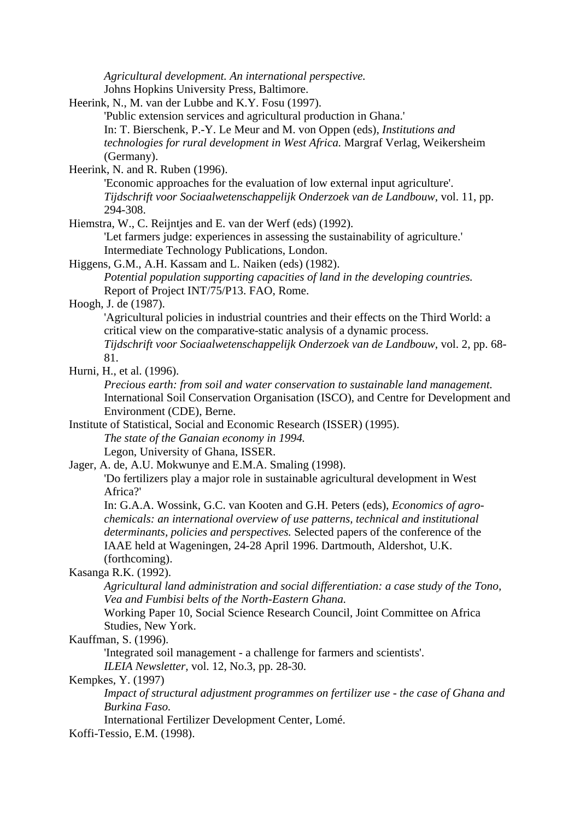*Agricultural development. An international perspective.* Johns Hopkins University Press, Baltimore. Heerink, N., M. van der Lubbe and K.Y. Fosu (1997). 'Public extension services and agricultural production in Ghana.' In: T. Bierschenk, P.-Y. Le Meur and M. von Oppen (eds), *Institutions and technologies for rural development in West Africa.* Margraf Verlag, Weikersheim (Germany). Heerink, N. and R. Ruben (1996). 'Economic approaches for the evaluation of low external input agriculture'. *Tijdschrift voor Sociaalwetenschappelijk Onderzoek van de Landbouw*, vol. 11, pp. 294-308. Hiemstra, W., C. Reijntjes and E. van der Werf (eds) (1992). 'Let farmers judge: experiences in assessing the sustainability of agriculture.' Intermediate Technology Publications, London. Higgens, G.M., A.H. Kassam and L. Naiken (eds) (1982). *Potential population supporting capacities of land in the developing countries.* Report of Project INT/75/P13. FAO, Rome. Hoogh, J. de (1987). 'Agricultural policies in industrial countries and their effects on the Third World: a critical view on the comparative-static analysis of a dynamic process. *Tijdschrift voor Sociaalwetenschappelijk Onderzoek van de Landbouw*, vol. 2, pp. 68- 81. Hurni, H., et al. (1996). *Precious earth: from soil and water conservation to sustainable land management.* International Soil Conservation Organisation (ISCO), and Centre for Development and Environment (CDE), Berne. Institute of Statistical, Social and Economic Research (ISSER) (1995). *The state of the Ganaian economy in 1994.* Legon, University of Ghana, ISSER. Jager, A. de, A.U. Mokwunye and E.M.A. Smaling (1998). 'Do fertilizers play a major role in sustainable agricultural development in West Africa?' In: G.A.A. Wossink, G.C. van Kooten and G.H. Peters (eds), *Economics of agrochemicals: an international overview of use patterns, technical and institutional determinants, policies and perspectives.* Selected papers of the conference of the IAAE held at Wageningen, 24-28 April 1996. Dartmouth, Aldershot, U.K. (forthcoming). Kasanga R.K. (1992). *Agricultural land administration and social differentiation: a case study of the Tono, Vea and Fumbisi belts of the North-Eastern Ghana.* Working Paper 10, Social Science Research Council, Joint Committee on Africa Studies, New York. Kauffman, S. (1996). 'Integrated soil management - a challenge for farmers and scientists'. *ILEIA Newsletter,* vol. 12, No.3, pp. 28-30. Kempkes, Y. (1997) *Impact of structural adjustment programmes on fertilizer use - the case of Ghana and Burkina Faso.* International Fertilizer Development Center, Lomé. Koffi-Tessio, E.M. (1998).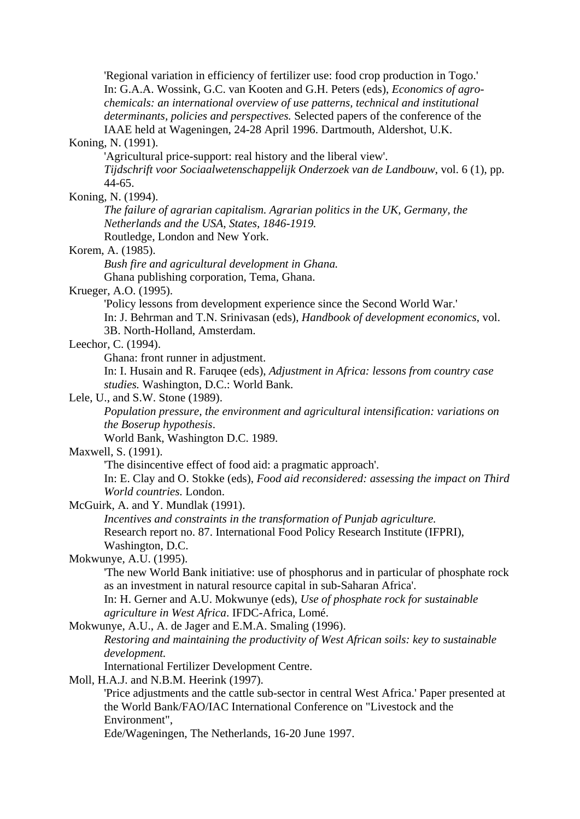'Regional variation in efficiency of fertilizer use: food crop production in Togo.' In: G.A.A. Wossink, G.C. van Kooten and G.H. Peters (eds), *Economics of agrochemicals: an international overview of use patterns, technical and institutional determinants, policies and perspectives.* Selected papers of the conference of the IAAE held at Wageningen, 24-28 April 1996. Dartmouth, Aldershot, U.K.

#### Koning, N. (1991).

'Agricultural price-support: real history and the liberal view'.

*Tijdschrift voor Sociaalwetenschappelijk Onderzoek van de Landbouw*, vol. 6 (1), pp. 44-65.

#### Koning, N. (1994).

*The failure of agrarian capitalism. Agrarian politics in the UK, Germany, the Netherlands and the USA, States, 1846-1919.*

Routledge, London and New York.

# Korem, A. (1985).

*Bush fire and agricultural development in Ghana.* Ghana publishing corporation, Tema, Ghana.

Krueger, A.O. (1995).

'Policy lessons from development experience since the Second World War.'

In: J. Behrman and T.N. Srinivasan (eds), *Handbook of development economics*, vol.

3B. North-Holland, Amsterdam.

Leechor, C. (1994).

Ghana: front runner in adjustment.

In: I. Husain and R. Faruqee (eds), *Adjustment in Africa: lessons from country case studies.* Washington, D.C.: World Bank.

#### Lele, U., and S.W. Stone (1989).

*Population pressure, the environment and agricultural intensification: variations on the Boserup hypothesis*.

World Bank, Washington D.C. 1989.

#### Maxwell, S. (1991).

'The disincentive effect of food aid: a pragmatic approach'.

In: E. Clay and O. Stokke (eds), *Food aid reconsidered: assessing the impact on Third World countries.* London.

#### McGuirk, A. and Y. Mundlak (1991).

*Incentives and constraints in the transformation of Punjab agriculture.* Research report no. 87. International Food Policy Research Institute (IFPRI), Washington, D.C.

## Mokwunye, A.U. (1995).

'The new World Bank initiative: use of phosphorus and in particular of phosphate rock as an investment in natural resource capital in sub-Saharan Africa'.

In: H. Gerner and A.U. Mokwunye (eds), *Use of phosphate rock for sustainable agriculture in West Africa*. IFDC-Africa, Lomé.

Mokwunye, A.U., A. de Jager and E.M.A. Smaling (1996). *Restoring and maintaining the productivity of West African soils: key to sustainable development.*

International Fertilizer Development Centre.

#### Moll, H.A.J. and N.B.M. Heerink (1997).

'Price adjustments and the cattle sub-sector in central West Africa.' Paper presented at the World Bank/FAO/IAC International Conference on "Livestock and the Environment",

Ede/Wageningen, The Netherlands, 16-20 June 1997.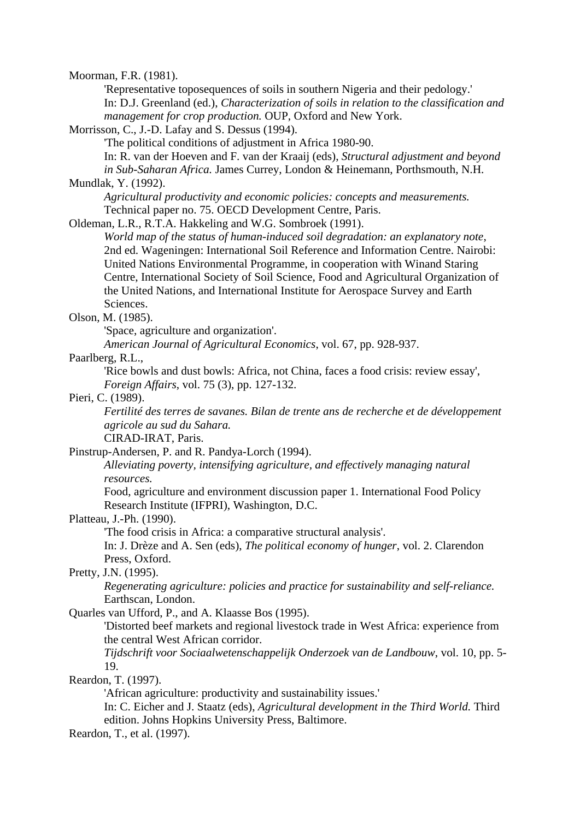Moorman, F.R. (1981).

'Representative toposequences of soils in southern Nigeria and their pedology.' In: D.J. Greenland (ed.), *Characterization of soils in relation to the classification and management for crop production.* OUP, Oxford and New York.

Morrisson, C., J.-D. Lafay and S. Dessus (1994).

'The political conditions of adjustment in Africa 1980-90.

In: R. van der Hoeven and F. van der Kraaij (eds), *Structural adjustment and beyond in Sub-Saharan Africa.* James Currey, London & Heinemann, Porthsmouth, N.H. Mundlak, Y. (1992).

*Agricultural productivity and economic policies: concepts and measurements.* Technical paper no. 75. OECD Development Centre, Paris.

Oldeman, L.R., R.T.A. Hakkeling and W.G. Sombroek (1991).

*World map of the status of human-induced soil degradation: an explanatory note*, 2nd ed. Wageningen: International Soil Reference and Information Centre. Nairobi: United Nations Environmental Programme, in cooperation with Winand Staring Centre, International Society of Soil Science, Food and Agricultural Organization of the United Nations, and International Institute for Aerospace Survey and Earth Sciences.

#### Olson, M. (1985).

'Space, agriculture and organization'.

*American Journal of Agricultural Economics*, vol. 67, pp. 928-937.

#### Paarlberg, R.L.,

'Rice bowls and dust bowls: Africa, not China, faces a food crisis: review essay', *Foreign Affairs*, vol. 75 (3), pp. 127-132.

#### Pieri, C. (1989).

*Fertilité des terres de savanes. Bilan de trente ans de recherche et de développement agricole au sud du Sahara.*

CIRAD-IRAT, Paris.

Pinstrup-Andersen, P. and R. Pandya-Lorch (1994).

*Alleviating poverty, intensifying agriculture, and effectively managing natural resources.*

Food, agriculture and environment discussion paper 1. International Food Policy Research Institute (IFPRI), Washington, D.C.

#### Platteau, J.-Ph. (1990).

'The food crisis in Africa: a comparative structural analysis'.

In: J. Drèze and A. Sen (eds), *The political economy of hunger*, vol. 2. Clarendon Press, Oxford.

## Pretty, J.N. (1995).

*Regenerating agriculture: policies and practice for sustainability and self-reliance.* Earthscan, London.

# Quarles van Ufford, P., and A. Klaasse Bos (1995).

'Distorted beef markets and regional livestock trade in West Africa: experience from the central West African corridor.

*Tijdschrift voor Sociaalwetenschappelijk Onderzoek van de Landbouw*, vol. 10, pp. 5- 19.

# Reardon, T. (1997).

'African agriculture: productivity and sustainability issues.'

In: C. Eicher and J. Staatz (eds), *Agricultural development in the Third World.* Third edition. Johns Hopkins University Press, Baltimore.

Reardon, T., et al. (1997).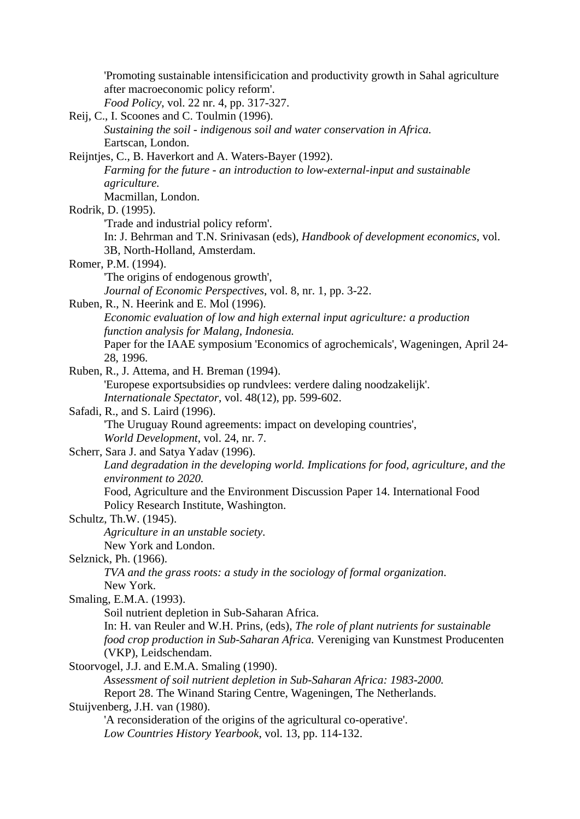|                                          | Promoting sustainable intensificication and productivity growth in Sahal agriculture  |
|------------------------------------------|---------------------------------------------------------------------------------------|
|                                          | after macroeconomic policy reform'.                                                   |
|                                          | Food Policy, vol. 22 nr. 4, pp. 317-327.                                              |
|                                          | Reij, C., I. Scoones and C. Toulmin (1996).                                           |
|                                          | Sustaining the soil - indigenous soil and water conservation in Africa.               |
| Eartscan, London.                        |                                                                                       |
|                                          | Reijntjes, C., B. Haverkort and A. Waters-Bayer (1992).                               |
|                                          | Farming for the future - an introduction to low-external-input and sustainable        |
| agriculture.                             |                                                                                       |
| Macmillan, London.                       |                                                                                       |
| Rodrik, D. (1995).                       |                                                                                       |
|                                          | 'Trade and industrial policy reform'.                                                 |
|                                          | In: J. Behrman and T.N. Srinivasan (eds), Handbook of development economics, vol.     |
|                                          | 3B, North-Holland, Amsterdam.                                                         |
| Romer, P.M. (1994).                      |                                                                                       |
|                                          | The origins of endogenous growth',                                                    |
|                                          | Journal of Economic Perspectives, vol. 8, nr. 1, pp. 3-22.                            |
| Ruben, R., N. Heerink and E. Mol (1996). |                                                                                       |
|                                          | Economic evaluation of low and high external input agriculture: a production          |
|                                          | function analysis for Malang, Indonesia.                                              |
|                                          | Paper for the IAAE symposium 'Economics of agrochemicals', Wageningen, April 24-      |
| 28, 1996.                                |                                                                                       |
|                                          | Ruben, R., J. Attema, and H. Breman (1994).                                           |
|                                          | 'Europese exportsubsidies op rundvlees: verdere daling noodzakelijk'.                 |
|                                          | Internationale Spectator, vol. 48(12), pp. 599-602.                                   |
| Safadi, R., and S. Laird (1996).         |                                                                                       |
|                                          | 'The Uruguay Round agreements: impact on developing countries',                       |
|                                          | World Development, vol. 24, nr. 7.                                                    |
| Scherr, Sara J. and Satya Yadav (1996).  |                                                                                       |
|                                          | Land degradation in the developing world. Implications for food, agriculture, and the |
| environment to 2020.                     |                                                                                       |
|                                          | Food, Agriculture and the Environment Discussion Paper 14. International Food         |
|                                          | Policy Research Institute, Washington.                                                |
| Schultz, Th.W. (1945).                   |                                                                                       |
|                                          | Agriculture in an unstable society.                                                   |
| New York and London.                     |                                                                                       |
| Selznick, Ph. (1966).                    |                                                                                       |
|                                          | TVA and the grass roots: a study in the sociology of formal organization.             |
| New York.                                |                                                                                       |
| Smaling, E.M.A. (1993).                  |                                                                                       |
|                                          | Soil nutrient depletion in Sub-Saharan Africa.                                        |
|                                          | In: H. van Reuler and W.H. Prins, (eds), The role of plant nutrients for sustainable  |
|                                          | food crop production in Sub-Saharan Africa. Vereniging van Kunstmest Producenten      |
| (VKP), Leidschendam.                     |                                                                                       |
|                                          | Stoorvogel, J.J. and E.M.A. Smaling (1990).                                           |
|                                          | Assessment of soil nutrient depletion in Sub-Saharan Africa: 1983-2000.               |
|                                          | Report 28. The Winand Staring Centre, Wageningen, The Netherlands.                    |
| Stuijvenberg, J.H. van (1980).           |                                                                                       |
|                                          | 'A reconsideration of the origins of the agricultural co-operative'.                  |
|                                          | Low Countries History Yearbook, vol. 13, pp. 114-132.                                 |
|                                          |                                                                                       |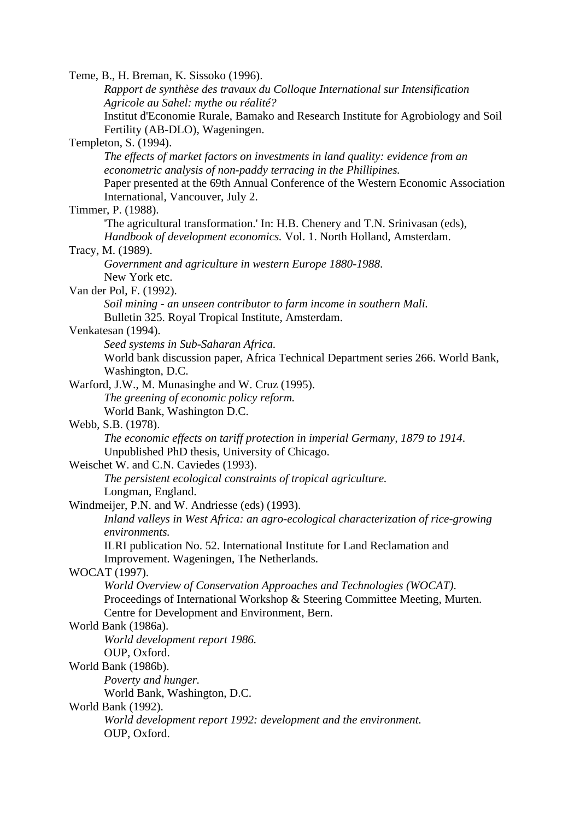Teme, B., H. Breman, K. Sissoko (1996). *Rapport de synthèse des travaux du Colloque International sur Intensification Agricole au Sahel: mythe ou réalité?* Institut d'Economie Rurale, Bamako and Research Institute for Agrobiology and Soil Fertility (AB-DLO), Wageningen. Templeton, S. (1994). *The effects of market factors on investments in land quality: evidence from an econometric analysis of non-paddy terracing in the Phillipines.* Paper presented at the 69th Annual Conference of the Western Economic Association International, Vancouver, July 2. Timmer, P. (1988). 'The agricultural transformation.' In: H.B. Chenery and T.N. Srinivasan (eds), *Handbook of development economics.* Vol. 1. North Holland, Amsterdam. Tracy, M. (1989). *Government and agriculture in western Europe 1880-1988*. New York etc. Van der Pol, F. (1992). *Soil mining - an unseen contributor to farm income in southern Mali.* Bulletin 325. Royal Tropical Institute, Amsterdam. Venkatesan (1994). *Seed systems in Sub-Saharan Africa.* World bank discussion paper, Africa Technical Department series 266. World Bank, Washington, D.C. Warford, J.W., M. Munasinghe and W. Cruz (1995). *The greening of economic policy reform.* World Bank, Washington D.C. Webb, S.B. (1978). *The economic effects on tariff protection in imperial Germany, 1879 to 1914*. Unpublished PhD thesis, University of Chicago. Weischet W. and C.N. Caviedes (1993). *The persistent ecological constraints of tropical agriculture.* Longman, England. Windmeijer, P.N. and W. Andriesse (eds) (1993). *Inland valleys in West Africa: an agro-ecological characterization of rice-growing environments.* ILRI publication No. 52. International Institute for Land Reclamation and Improvement. Wageningen, The Netherlands. WOCAT (1997). *World Overview of Conservation Approaches and Technologies (WOCAT)*. Proceedings of International Workshop & Steering Committee Meeting, Murten. Centre for Development and Environment, Bern. World Bank (1986a). *World development report 1986.* OUP, Oxford. World Bank (1986b). *Poverty and hunger.* World Bank, Washington, D.C. World Bank (1992). *World development report 1992: development and the environment.* OUP, Oxford.